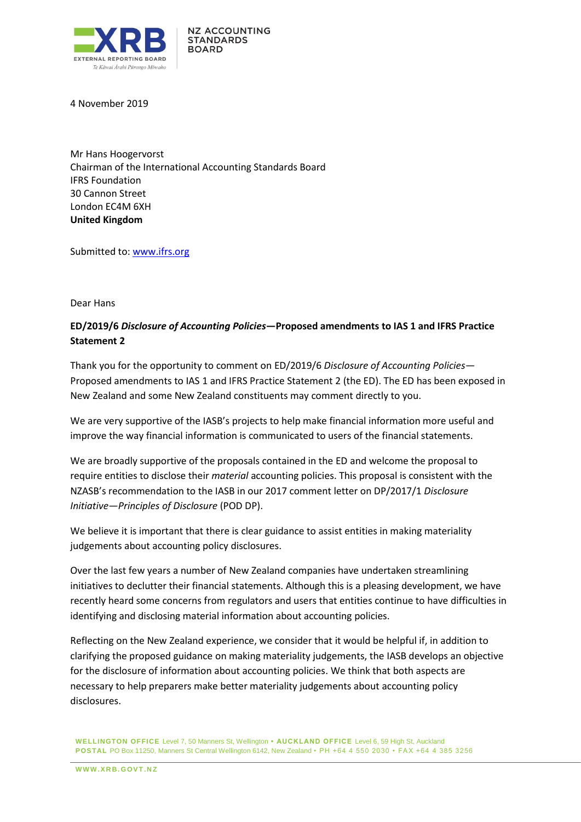

4 November 2019

Mr Hans Hoogervorst Chairman of the International Accounting Standards Board IFRS Foundation 30 Cannon Street London EC4M 6XH **United Kingdom**

Submitted to: [www.ifrs.org](http://www.ifrs.org/)

#### Dear Hans

# **ED/2019/6** *Disclosure of Accounting Policies***—Proposed amendments to IAS 1 and IFRS Practice Statement 2**

Thank you for the opportunity to comment on ED/2019/6 *Disclosure of Accounting Policies*— Proposed amendments to IAS 1 and IFRS Practice Statement 2 (the ED). The ED has been exposed in New Zealand and some New Zealand constituents may comment directly to you.

We are very supportive of the IASB's projects to help make financial information more useful and improve the way financial information is communicated to users of the financial statements.

We are broadly supportive of the proposals contained in the ED and welcome the proposal to require entities to disclose their *material* accounting policies. This proposal is consistent with the NZASB's recommendation to the IASB in our 2017 comment letter on DP/2017/1 *Disclosure Initiative—Principles of Disclosure* (POD DP).

We believe it is important that there is clear guidance to assist entities in making materiality judgements about accounting policy disclosures.

Over the last few years a number of New Zealand companies have undertaken streamlining initiatives to declutter their financial statements. Although this is a pleasing development, we have recently heard some concerns from regulators and users that entities continue to have difficulties in identifying and disclosing material information about accounting policies.

Reflecting on the New Zealand experience, we consider that it would be helpful if, in addition to clarifying the proposed guidance on making materiality judgements, the IASB develops an objective for the disclosure of information about accounting policies. We think that both aspects are necessary to help preparers make better materiality judgements about accounting policy disclosures.

**WELLINGTON OFFICE** Level 7, 50 Manners St, Wellington **• AUCKLAND OFFICE** Level 6, 59 High St, Auckland **POSTAL** PO Box 11250, Manners St Central Wellington 6142, New Zealand • PH +64 4 550 2030 • FAX +64 4 385 3256

**W W W .X R B . G OV T .N Z**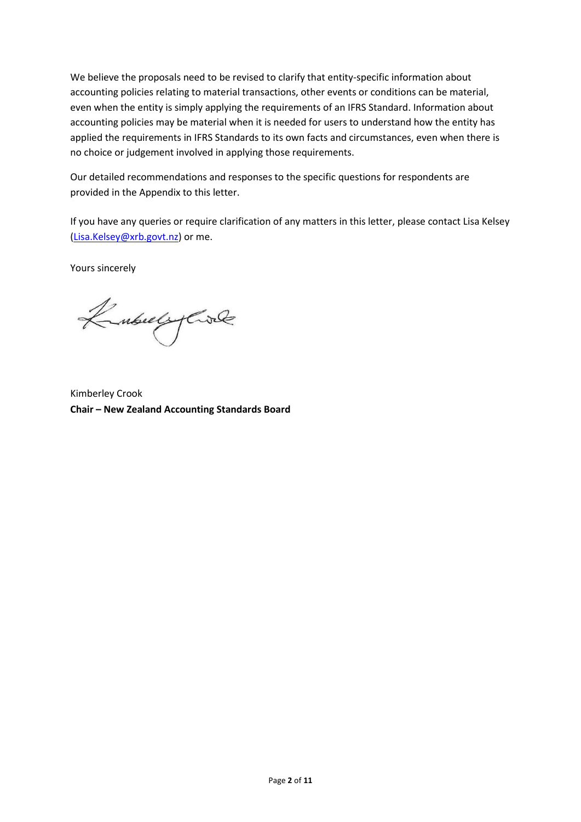We believe the proposals need to be revised to clarify that entity-specific information about accounting policies relating to material transactions, other events or conditions can be material, even when the entity is simply applying the requirements of an IFRS Standard. Information about accounting policies may be material when it is needed for users to understand how the entity has applied the requirements in IFRS Standards to its own facts and circumstances, even when there is no choice or judgement involved in applying those requirements.

Our detailed recommendations and responses to the specific questions for respondents are provided in the Appendix to this letter.

If you have any queries or require clarification of any matters in this letter, please contact Lisa Kelsey [\(Lisa.Kelsey@xrb.govt.nz\)](mailto:Lisa.Kelsey@xrb.govt.nz) or me.

Yours sincerely

KubulyCole

Kimberley Crook **Chair – New Zealand Accounting Standards Board**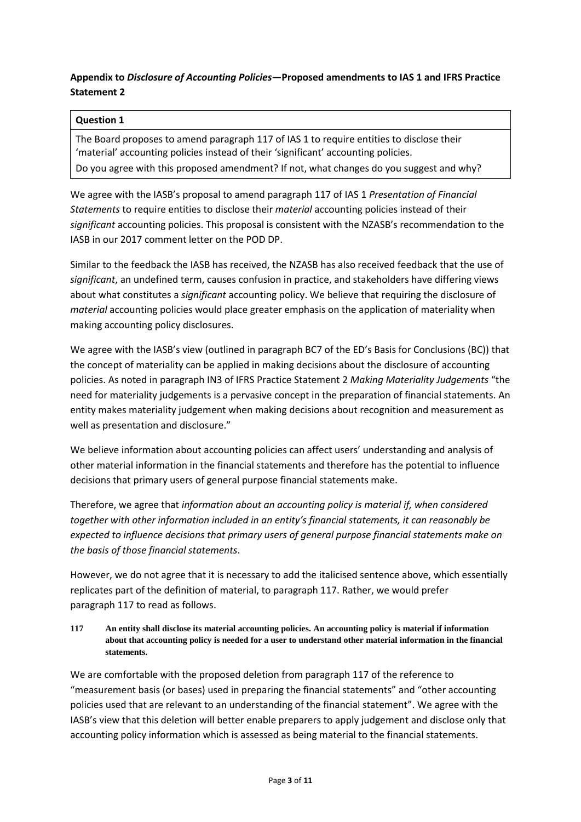# **Appendix to** *Disclosure of Accounting Policies***—Proposed amendments to IAS 1 and IFRS Practice Statement 2**

## **Question 1**

The Board proposes to amend paragraph 117 of IAS 1 to require entities to disclose their 'material' accounting policies instead of their 'significant' accounting policies. Do you agree with this proposed amendment? If not, what changes do you suggest and why?

We agree with the IASB's proposal to amend paragraph 117 of IAS 1 *Presentation of Financial Statements* to require entities to disclose their *material* accounting policies instead of their *significant* accounting policies. This proposal is consistent with the NZASB's recommendation to the IASB in our 2017 comment letter on the POD DP.

Similar to the feedback the IASB has received, the NZASB has also received feedback that the use of *significant*, an undefined term, causes confusion in practice, and stakeholders have differing views about what constitutes a *significant* accounting policy. We believe that requiring the disclosure of *material* accounting policies would place greater emphasis on the application of materiality when making accounting policy disclosures.

We agree with the IASB's view (outlined in paragraph BC7 of the ED's Basis for Conclusions (BC)) that the concept of materiality can be applied in making decisions about the disclosure of accounting policies. As noted in paragraph IN3 of IFRS Practice Statement 2 *Making Materiality Judgements* "the need for materiality judgements is a pervasive concept in the preparation of financial statements. An entity makes materiality judgement when making decisions about recognition and measurement as well as presentation and disclosure."

We believe information about accounting policies can affect users' understanding and analysis of other material information in the financial statements and therefore has the potential to influence decisions that primary users of general purpose financial statements make.

Therefore, we agree that *information about an accounting policy is material if, when considered together with other information included in an entity's financial statements, it can reasonably be expected to influence decisions that primary users of general purpose financial statements make on the basis of those financial statements*.

However, we do not agree that it is necessary to add the italicised sentence above, which essentially replicates part of the definition of material, to paragraph 117. Rather, we would prefer paragraph 117 to read as follows.

**117 An entity shall disclose its material accounting policies. An accounting policy is material if information about that accounting policy is needed for a user to understand other material information in the financial statements.**

We are comfortable with the proposed deletion from paragraph 117 of the reference to "measurement basis (or bases) used in preparing the financial statements" and "other accounting policies used that are relevant to an understanding of the financial statement". We agree with the IASB's view that this deletion will better enable preparers to apply judgement and disclose only that accounting policy information which is assessed as being material to the financial statements.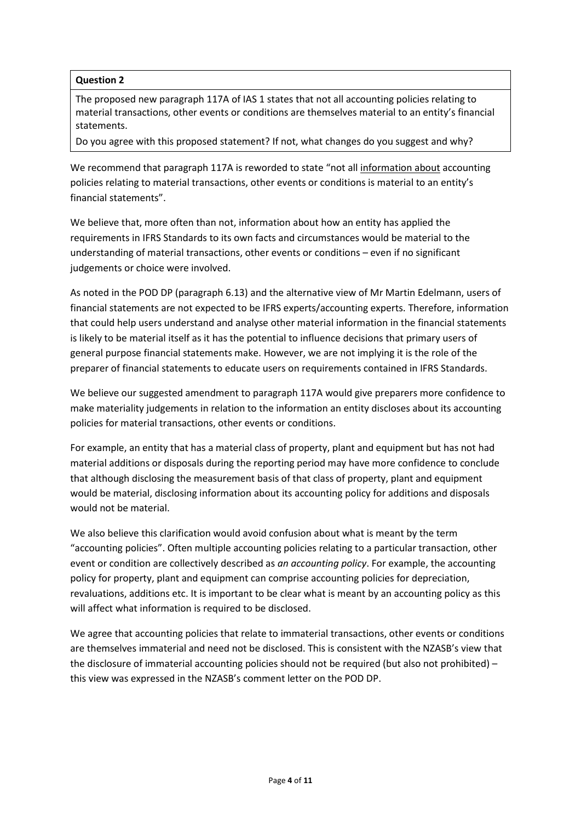The proposed new paragraph 117A of IAS 1 states that not all accounting policies relating to material transactions, other events or conditions are themselves material to an entity's financial statements.

Do you agree with this proposed statement? If not, what changes do you suggest and why?

We recommend that paragraph 117A is reworded to state "not all information about accounting policies relating to material transactions, other events or conditions is material to an entity's financial statements".

We believe that, more often than not, information about how an entity has applied the requirements in IFRS Standards to its own facts and circumstances would be material to the understanding of material transactions, other events or conditions – even if no significant judgements or choice were involved.

As noted in the POD DP (paragraph 6.13) and the alternative view of Mr Martin Edelmann, users of financial statements are not expected to be IFRS experts/accounting experts. Therefore, information that could help users understand and analyse other material information in the financial statements is likely to be material itself as it has the potential to influence decisions that primary users of general purpose financial statements make. However, we are not implying it is the role of the preparer of financial statements to educate users on requirements contained in IFRS Standards.

We believe our suggested amendment to paragraph 117A would give preparers more confidence to make materiality judgements in relation to the information an entity discloses about its accounting policies for material transactions, other events or conditions.

For example, an entity that has a material class of property, plant and equipment but has not had material additions or disposals during the reporting period may have more confidence to conclude that although disclosing the measurement basis of that class of property, plant and equipment would be material, disclosing information about its accounting policy for additions and disposals would not be material.

We also believe this clarification would avoid confusion about what is meant by the term "accounting policies". Often multiple accounting policies relating to a particular transaction, other event or condition are collectively described as *an accounting policy*. For example, the accounting policy for property, plant and equipment can comprise accounting policies for depreciation, revaluations, additions etc. It is important to be clear what is meant by an accounting policy as this will affect what information is required to be disclosed.

We agree that accounting policies that relate to immaterial transactions, other events or conditions are themselves immaterial and need not be disclosed. This is consistent with the NZASB's view that the disclosure of immaterial accounting policies should not be required (but also not prohibited) – this view was expressed in the NZASB's comment letter on the POD DP.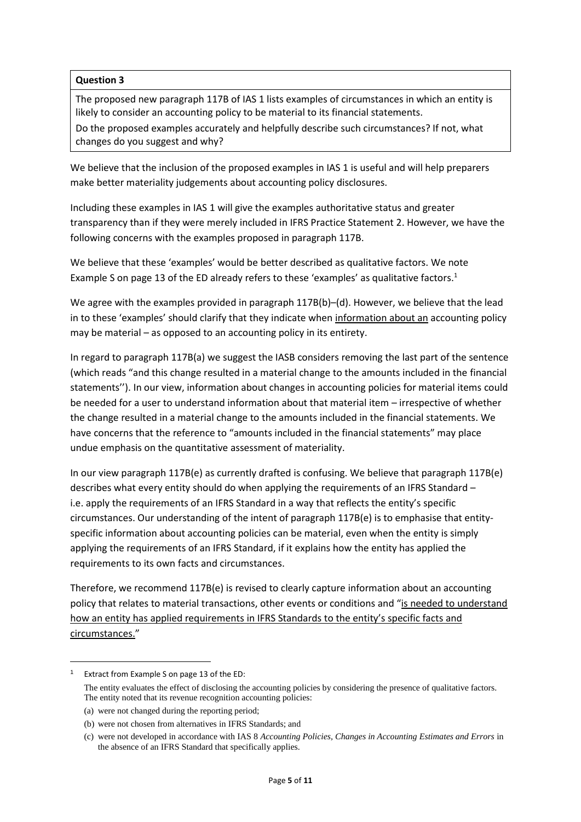The proposed new paragraph 117B of IAS 1 lists examples of circumstances in which an entity is likely to consider an accounting policy to be material to its financial statements.

Do the proposed examples accurately and helpfully describe such circumstances? If not, what changes do you suggest and why?

We believe that the inclusion of the proposed examples in IAS 1 is useful and will help preparers make better materiality judgements about accounting policy disclosures.

Including these examples in IAS 1 will give the examples authoritative status and greater transparency than if they were merely included in IFRS Practice Statement 2. However, we have the following concerns with the examples proposed in paragraph 117B.

We believe that these 'examples' would be better described as qualitative factors. We note Example S on page 13 of the ED already refers to these 'examples' as qualitative factors.<sup>1</sup>

We agree with the examples provided in paragraph 117B(b)–(d). However, we believe that the lead in to these 'examples' should clarify that they indicate when information about an accounting policy may be material – as opposed to an accounting policy in its entirety.

In regard to paragraph 117B(a) we suggest the IASB considers removing the last part of the sentence (which reads "and this change resulted in a material change to the amounts included in the financial statements''). In our view, information about changes in accounting policies for material items could be needed for a user to understand information about that material item – irrespective of whether the change resulted in a material change to the amounts included in the financial statements. We have concerns that the reference to "amounts included in the financial statements" may place undue emphasis on the quantitative assessment of materiality.

In our view paragraph 117B(e) as currently drafted is confusing. We believe that paragraph 117B(e) describes what every entity should do when applying the requirements of an IFRS Standard – i.e. apply the requirements of an IFRS Standard in a way that reflects the entity's specific circumstances. Our understanding of the intent of paragraph 117B(e) is to emphasise that entityspecific information about accounting policies can be material, even when the entity is simply applying the requirements of an IFRS Standard, if it explains how the entity has applied the requirements to its own facts and circumstances.

Therefore, we recommend 117B(e) is revised to clearly capture information about an accounting policy that relates to material transactions, other events or conditions and "is needed to understand how an entity has applied requirements in IFRS Standards to the entity's specific facts and circumstances."

1

<sup>1</sup> Extract from Example S on page 13 of the ED:

The entity evaluates the effect of disclosing the accounting policies by considering the presence of qualitative factors. The entity noted that its revenue recognition accounting policies:

<sup>(</sup>a) were not changed during the reporting period;

<sup>(</sup>b) were not chosen from alternatives in IFRS Standards; and

<sup>(</sup>c) were not developed in accordance with IAS 8 *Accounting Policies, Changes in Accounting Estimates and Errors* in the absence of an IFRS Standard that specifically applies.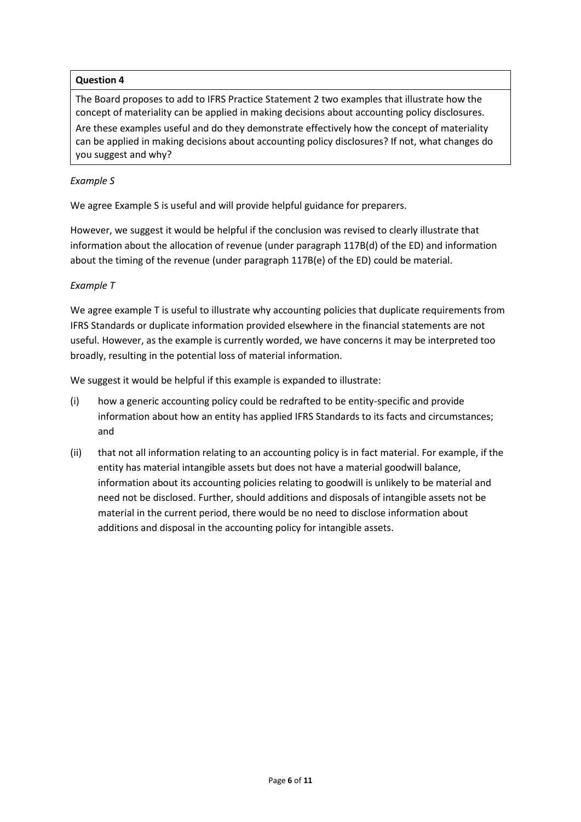The Board proposes to add to IFRS Practice Statement 2 two examples that illustrate how the concept of materiality can be applied in making decisions about accounting policy disclosures.

Are these examples useful and do they demonstrate effectively how the concept of materiality can be applied in making decisions about accounting policy disclosures? If not, what changes do you suggest and why?

## *Example S*

We agree Example S is useful and will provide helpful guidance for preparers.

However, we suggest it would be helpful if the conclusion was revised to clearly illustrate that information about the allocation of revenue (under paragraph 117B(d) of the ED) and information about the timing of the revenue (under paragraph 117B(e) of the ED) could be material.

### *Example T*

We agree example T is useful to illustrate why accounting policies that duplicate requirements from IFRS Standards or duplicate information provided elsewhere in the financial statements are not useful. However, as the example is currently worded, we have concerns it may be interpreted too broadly, resulting in the potential loss of material information.

We suggest it would be helpful if this example is expanded to illustrate:

- (i) how a generic accounting policy could be redrafted to be entity-specific and provide information about how an entity has applied IFRS Standards to its facts and circumstances; and
- (ii) that not all information relating to an accounting policy is in fact material. For example, if the entity has material intangible assets but does not have a material goodwill balance, information about its accounting policies relating to goodwill is unlikely to be material and need not be disclosed. Further, should additions and disposals of intangible assets not be material in the current period, there would be no need to disclose information about additions and disposal in the accounting policy for intangible assets.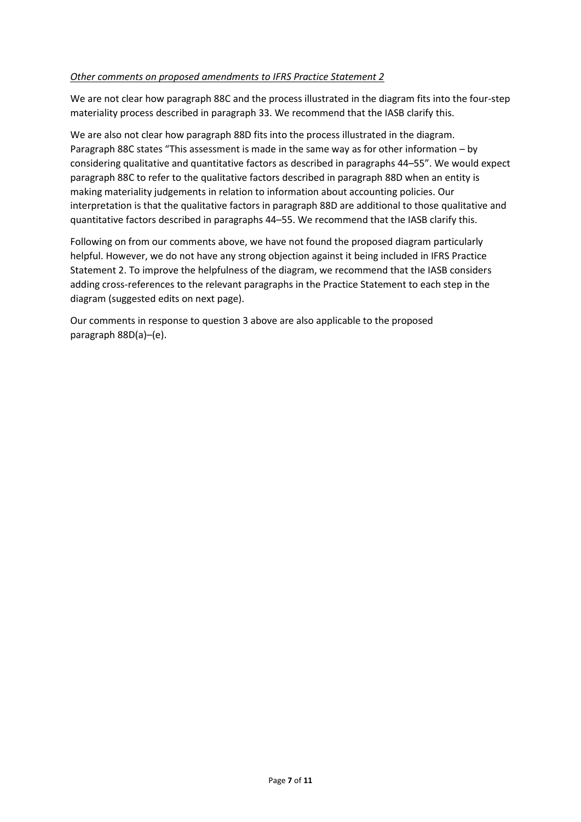#### *Other comments on proposed amendments to IFRS Practice Statement 2*

We are not clear how paragraph 88C and the process illustrated in the diagram fits into the four-step materiality process described in paragraph 33. We recommend that the IASB clarify this.

We are also not clear how paragraph 88D fits into the process illustrated in the diagram. Paragraph 88C states "This assessment is made in the same way as for other information – by considering qualitative and quantitative factors as described in paragraphs 44–55". We would expect paragraph 88C to refer to the qualitative factors described in paragraph 88D when an entity is making materiality judgements in relation to information about accounting policies. Our interpretation is that the qualitative factors in paragraph 88D are additional to those qualitative and quantitative factors described in paragraphs 44–55. We recommend that the IASB clarify this.

Following on from our comments above, we have not found the proposed diagram particularly helpful. However, we do not have any strong objection against it being included in IFRS Practice Statement 2. To improve the helpfulness of the diagram, we recommend that the IASB considers adding cross-references to the relevant paragraphs in the Practice Statement to each step in the diagram (suggested edits on next page).

Our comments in response to question 3 above are also applicable to the proposed paragraph 88D(a)–(e).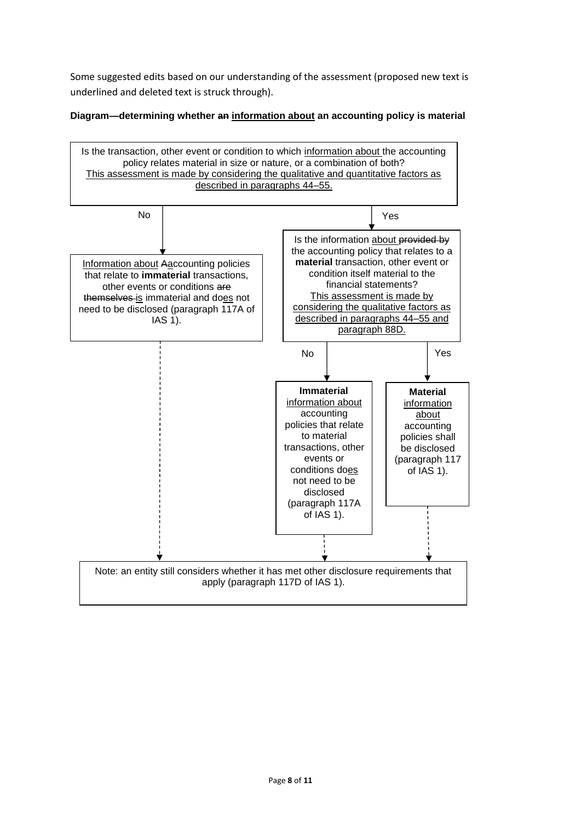Some suggested edits based on our understanding of the assessment (proposed new text is underlined and deleted text is struck through).

**Diagram—determining whether an information about an accounting policy is material**

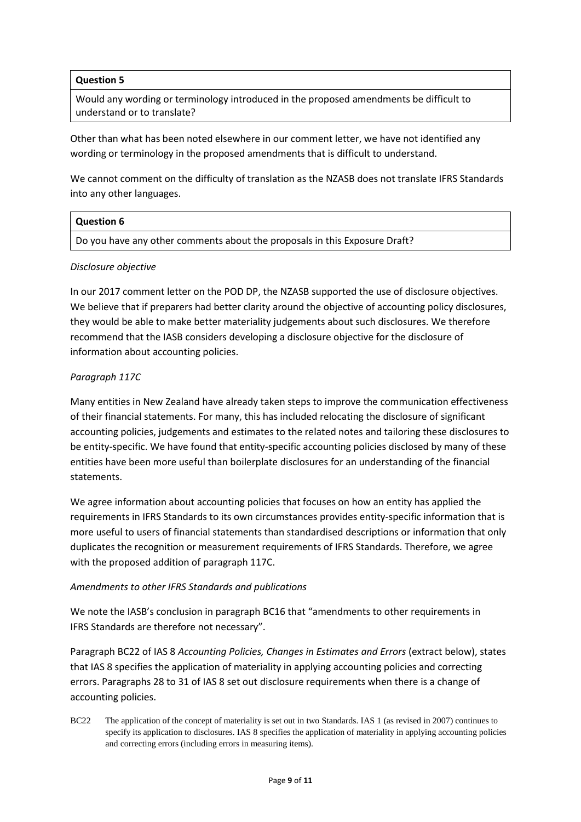Would any wording or terminology introduced in the proposed amendments be difficult to understand or to translate?

Other than what has been noted elsewhere in our comment letter, we have not identified any wording or terminology in the proposed amendments that is difficult to understand.

We cannot comment on the difficulty of translation as the NZASB does not translate IFRS Standards into any other languages.

| $\mid$ Question 6                                                          |  |
|----------------------------------------------------------------------------|--|
| Do you have any other comments about the proposals in this Exposure Draft? |  |
|                                                                            |  |

#### *Disclosure objective*

In our 2017 comment letter on the POD DP, the NZASB supported the use of disclosure objectives. We believe that if preparers had better clarity around the objective of accounting policy disclosures, they would be able to make better materiality judgements about such disclosures. We therefore recommend that the IASB considers developing a disclosure objective for the disclosure of information about accounting policies.

### *Paragraph 117C*

Many entities in New Zealand have already taken steps to improve the communication effectiveness of their financial statements. For many, this has included relocating the disclosure of significant accounting policies, judgements and estimates to the related notes and tailoring these disclosures to be entity-specific. We have found that entity-specific accounting policies disclosed by many of these entities have been more useful than boilerplate disclosures for an understanding of the financial statements.

We agree information about accounting policies that focuses on how an entity has applied the requirements in IFRS Standards to its own circumstances provides entity-specific information that is more useful to users of financial statements than standardised descriptions or information that only duplicates the recognition or measurement requirements of IFRS Standards. Therefore, we agree with the proposed addition of paragraph 117C.

#### *Amendments to other IFRS Standards and publications*

We note the IASB's conclusion in paragraph BC16 that "amendments to other requirements in IFRS Standards are therefore not necessary".

Paragraph BC22 of IAS 8 *Accounting Policies, Changes in Estimates and Errors* (extract below), states that IAS 8 specifies the application of materiality in applying accounting policies and correcting errors. Paragraphs 28 to 31 of IAS 8 set out disclosure requirements when there is a change of accounting policies.

BC22 The application of the concept of materiality is set out in two Standards. IAS 1 (as revised in 2007) continues to specify its application to disclosures. IAS 8 specifies the application of materiality in applying accounting policies and correcting errors (including errors in measuring items).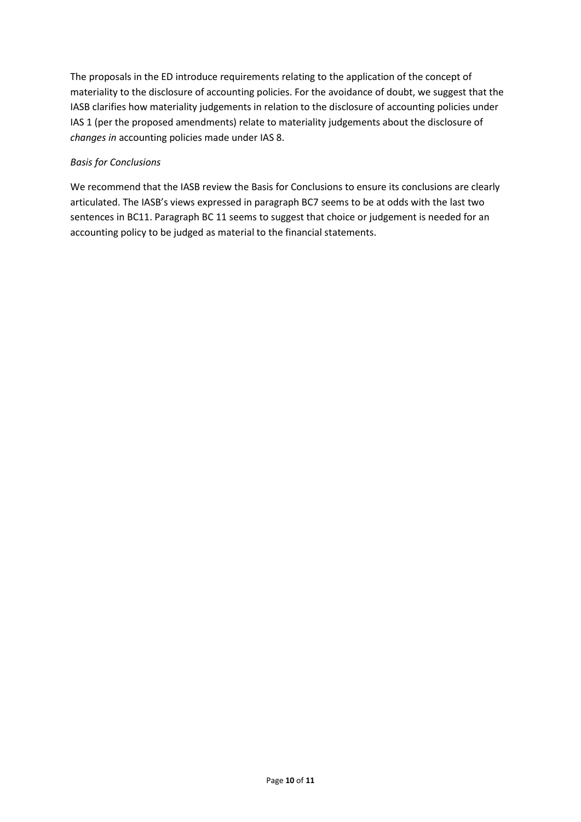The proposals in the ED introduce requirements relating to the application of the concept of materiality to the disclosure of accounting policies. For the avoidance of doubt, we suggest that the IASB clarifies how materiality judgements in relation to the disclosure of accounting policies under IAS 1 (per the proposed amendments) relate to materiality judgements about the disclosure of *changes in* accounting policies made under IAS 8.

# *Basis for Conclusions*

We recommend that the IASB review the Basis for Conclusions to ensure its conclusions are clearly articulated. The IASB's views expressed in paragraph BC7 seems to be at odds with the last two sentences in BC11. Paragraph BC 11 seems to suggest that choice or judgement is needed for an accounting policy to be judged as material to the financial statements.